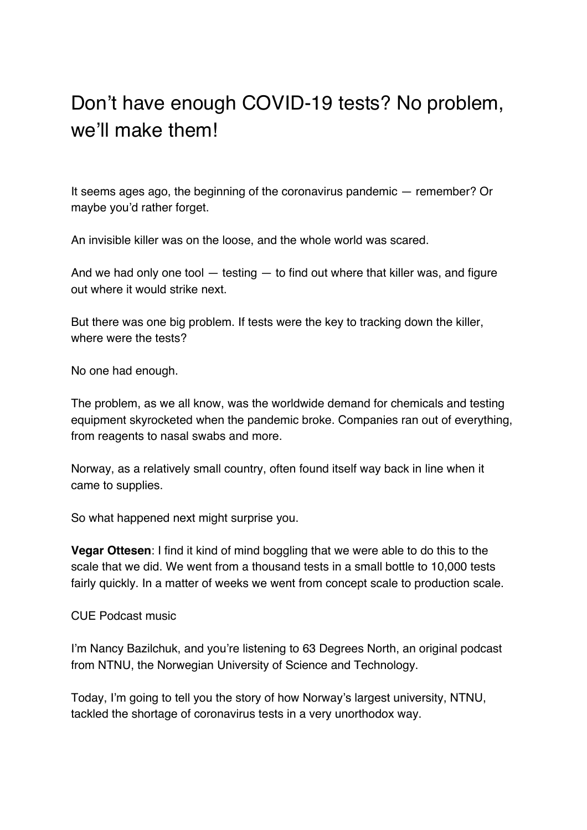## Don't have enough COVID-19 tests? No problem, we'll make them!

It seems ages ago, the beginning of the coronavirus pandemic — remember? Or maybe you'd rather forget.

An invisible killer was on the loose, and the whole world was scared.

And we had only one tool — testing — to find out where that killer was, and figure out where it would strike next.

But there was one big problem. If tests were the key to tracking down the killer, where were the tests?

No one had enough.

The problem, as we all know, was the worldwide demand for chemicals and testing equipment skyrocketed when the pandemic broke. Companies ran out of everything, from reagents to nasal swabs and more.

Norway, as a relatively small country, often found itself way back in line when it came to supplies.

So what happened next might surprise you.

**Vegar Ottesen**: I find it kind of mind boggling that we were able to do this to the scale that we did. We went from a thousand tests in a small bottle to 10,000 tests fairly quickly. In a matter of weeks we went from concept scale to production scale.

CUE Podcast music

I'm Nancy Bazilchuk, and you're listening to 63 Degrees North, an original podcast from NTNU, the Norwegian University of Science and Technology.

Today, I'm going to tell you the story of how Norway's largest university, NTNU, tackled the shortage of coronavirus tests in a very unorthodox way.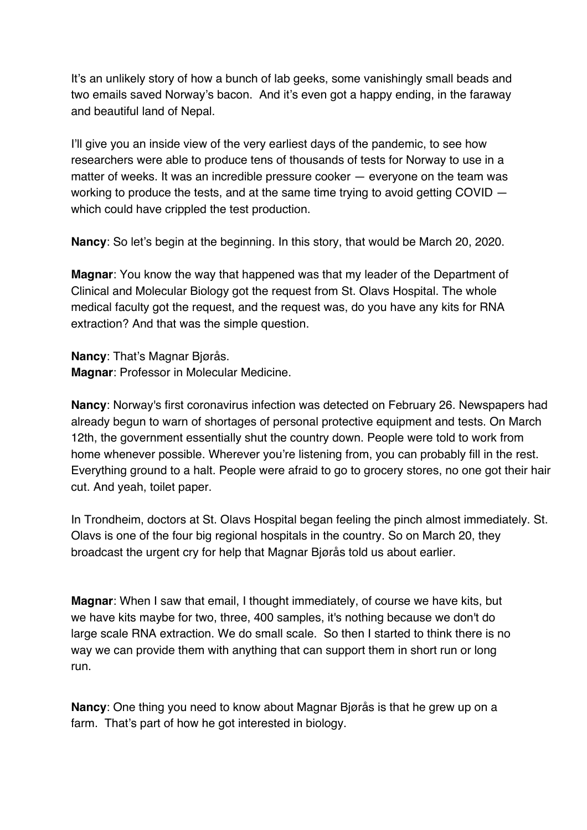It's an unlikely story of how a bunch of lab geeks, some vanishingly small beads and two emails saved Norway's bacon. And it's even got a happy ending, in the faraway and beautiful land of Nepal.

I'll give you an inside view of the very earliest days of the pandemic, to see how researchers were able to produce tens of thousands of tests for Norway to use in a matter of weeks. It was an incredible pressure cooker — everyone on the team was working to produce the tests, and at the same time trying to avoid getting COVID – which could have crippled the test production.

**Nancy**: So let's begin at the beginning. In this story, that would be March 20, 2020.

**Magnar**: You know the way that happened was that my leader of the Department of Clinical and Molecular Biology got the request from St. Olavs Hospital. The whole medical faculty got the request, and the request was, do you have any kits for RNA extraction? And that was the simple question.

**Nancy**: That's Magnar Bjørås. **Magnar**: Professor in Molecular Medicine.

**Nancy**: Norway's first coronavirus infection was detected on February 26. Newspapers had already begun to warn of shortages of personal protective equipment and tests. On March 12th, the government essentially shut the country down. People were told to work from home whenever possible. Wherever you're listening from, you can probably fill in the rest. Everything ground to a halt. People were afraid to go to grocery stores, no one got their hair cut. And yeah, toilet paper.

In Trondheim, doctors at St. Olavs Hospital began feeling the pinch almost immediately. St. Olavs is one of the four big regional hospitals in the country. So on March 20, they broadcast the urgent cry for help that Magnar Bjørås told us about earlier.

**Magnar**: When I saw that email, I thought immediately, of course we have kits, but we have kits maybe for two, three, 400 samples, it's nothing because we don't do large scale RNA extraction. We do small scale. So then I started to think there is no way we can provide them with anything that can support them in short run or long run.

**Nancy**: One thing you need to know about Magnar Bjørås is that he grew up on a farm. That's part of how he got interested in biology.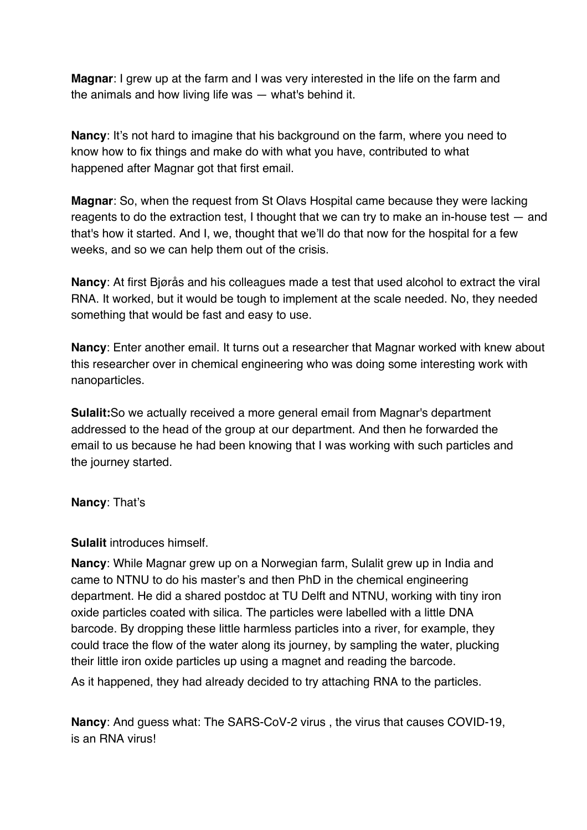**Magnar**: I grew up at the farm and I was very interested in the life on the farm and the animals and how living life was — what's behind it.

**Nancy**: It's not hard to imagine that his background on the farm, where you need to know how to fix things and make do with what you have, contributed to what happened after Magnar got that first email.

**Magnar**: So, when the request from St Olavs Hospital came because they were lacking reagents to do the extraction test, I thought that we can try to make an in-house test — and that's how it started. And I, we, thought that we'll do that now for the hospital for a few weeks, and so we can help them out of the crisis.

**Nancy**: At first Bjørås and his colleagues made a test that used alcohol to extract the viral RNA. It worked, but it would be tough to implement at the scale needed. No, they needed something that would be fast and easy to use.

**Nancy**: Enter another email. It turns out a researcher that Magnar worked with knew about this researcher over in chemical engineering who was doing some interesting work with nanoparticles.

**Sulalit:**So we actually received a more general email from Magnar's department addressed to the head of the group at our department. And then he forwarded the email to us because he had been knowing that I was working with such particles and the journey started.

## **Nancy**: That's

**Sulalit** introduces himself.

**Nancy**: While Magnar grew up on a Norwegian farm, Sulalit grew up in India and came to NTNU to do his master's and then PhD in the chemical engineering department. He did a shared postdoc at TU Delft and NTNU, working with tiny iron oxide particles coated with silica. The particles were labelled with a little DNA barcode. By dropping these little harmless particles into a river, for example, they could trace the flow of the water along its journey, by sampling the water, plucking their little iron oxide particles up using a magnet and reading the barcode.

As it happened, they had already decided to try attaching RNA to the particles.

**Nancy**: And guess what: The SARS-CoV-2 virus , the virus that causes COVID-19, is an RNA virus!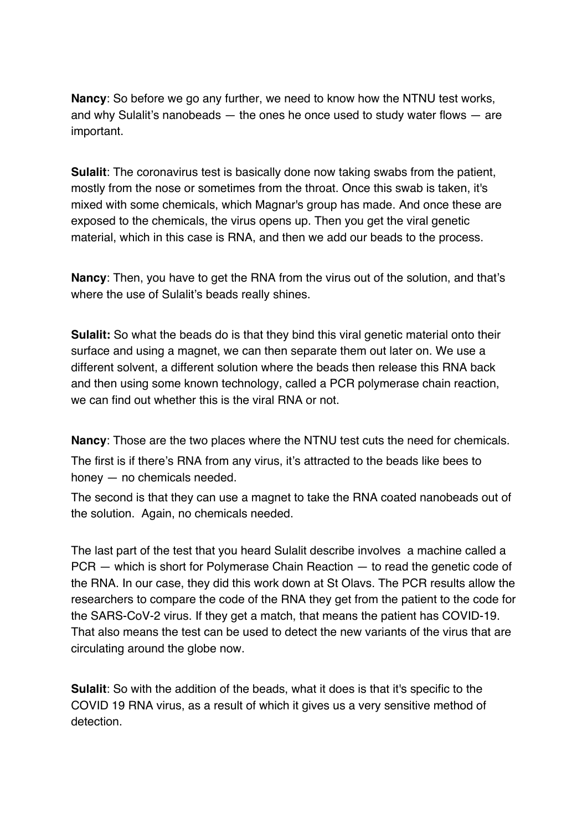**Nancy**: So before we go any further, we need to know how the NTNU test works, and why Sulalit's nanobeads — the ones he once used to study water flows — are important.

**Sulalit**: The coronavirus test is basically done now taking swabs from the patient, mostly from the nose or sometimes from the throat. Once this swab is taken, it's mixed with some chemicals, which Magnar's group has made. And once these are exposed to the chemicals, the virus opens up. Then you get the viral genetic material, which in this case is RNA, and then we add our beads to the process.

**Nancy**: Then, you have to get the RNA from the virus out of the solution, and that's where the use of Sulalit's beads really shines.

**Sulalit:** So what the beads do is that they bind this viral genetic material onto their surface and using a magnet, we can then separate them out later on. We use a different solvent, a different solution where the beads then release this RNA back and then using some known technology, called a PCR polymerase chain reaction, we can find out whether this is the viral RNA or not.

**Nancy**: Those are the two places where the NTNU test cuts the need for chemicals.

The first is if there's RNA from any virus, it's attracted to the beads like bees to honey — no chemicals needed.

The second is that they can use a magnet to take the RNA coated nanobeads out of the solution. Again, no chemicals needed.

The last part of the test that you heard Sulalit describe involves a machine called a PCR — which is short for Polymerase Chain Reaction — to read the genetic code of the RNA. In our case, they did this work down at St Olavs. The PCR results allow the researchers to compare the code of the RNA they get from the patient to the code for the SARS-CoV-2 virus. If they get a match, that means the patient has COVID-19. That also means the test can be used to detect the new variants of the virus that are circulating around the globe now.

**Sulalit**: So with the addition of the beads, what it does is that it's specific to the COVID 19 RNA virus, as a result of which it gives us a very sensitive method of detection.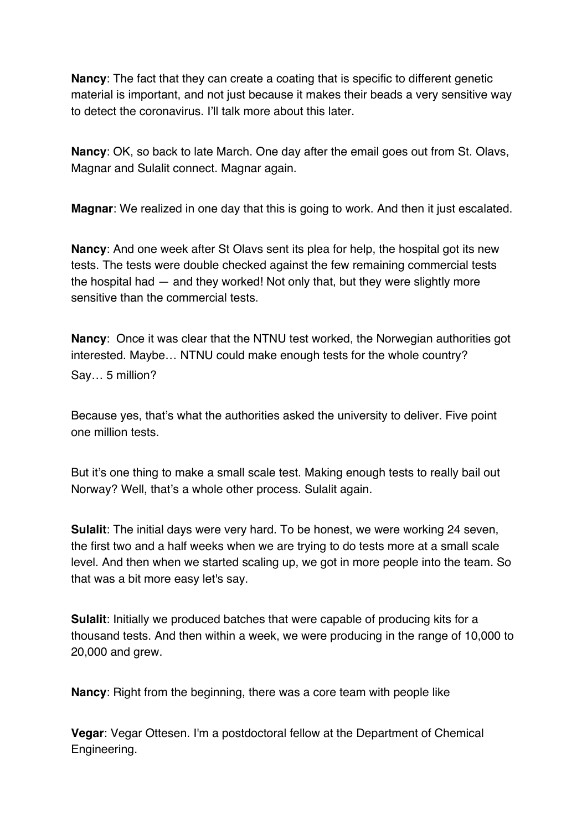**Nancy**: The fact that they can create a coating that is specific to different genetic material is important, and not just because it makes their beads a very sensitive way to detect the coronavirus. I'll talk more about this later.

**Nancy**: OK, so back to late March. One day after the email goes out from St. Olavs, Magnar and Sulalit connect. Magnar again.

**Magnar**: We realized in one day that this is going to work. And then it just escalated.

**Nancy**: And one week after St Olavs sent its plea for help, the hospital got its new tests. The tests were double checked against the few remaining commercial tests the hospital had — and they worked! Not only that, but they were slightly more sensitive than the commercial tests.

**Nancy**: Once it was clear that the NTNU test worked, the Norwegian authorities got interested. Maybe… NTNU could make enough tests for the whole country? Say… 5 million?

Because yes, that's what the authorities asked the university to deliver. Five point one million tests.

But it's one thing to make a small scale test. Making enough tests to really bail out Norway? Well, that's a whole other process. Sulalit again.

**Sulalit**: The initial days were very hard. To be honest, we were working 24 seven, the first two and a half weeks when we are trying to do tests more at a small scale level. And then when we started scaling up, we got in more people into the team. So that was a bit more easy let's say.

**Sulalit**: Initially we produced batches that were capable of producing kits for a thousand tests. And then within a week, we were producing in the range of 10,000 to 20,000 and grew.

**Nancy**: Right from the beginning, there was a core team with people like

**Vegar**: Vegar Ottesen. I'm a postdoctoral fellow at the Department of Chemical Engineering.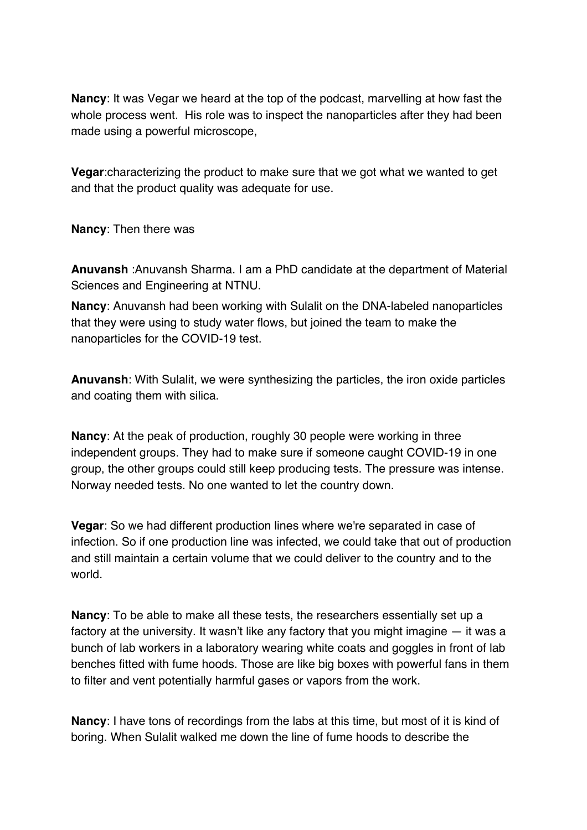**Nancy**: It was Vegar we heard at the top of the podcast, marvelling at how fast the whole process went. His role was to inspect the nanoparticles after they had been made using a powerful microscope,

**Vegar**:characterizing the product to make sure that we got what we wanted to get and that the product quality was adequate for use.

**Nancy**: Then there was

**Anuvansh** :Anuvansh Sharma. I am a PhD candidate at the department of Material Sciences and Engineering at NTNU.

**Nancy**: Anuvansh had been working with Sulalit on the DNA-labeled nanoparticles that they were using to study water flows, but joined the team to make the nanoparticles for the COVID-19 test.

**Anuvansh**: With Sulalit, we were synthesizing the particles, the iron oxide particles and coating them with silica.

**Nancy**: At the peak of production, roughly 30 people were working in three independent groups. They had to make sure if someone caught COVID-19 in one group, the other groups could still keep producing tests. The pressure was intense. Norway needed tests. No one wanted to let the country down.

**Vegar**: So we had different production lines where we're separated in case of infection. So if one production line was infected, we could take that out of production and still maintain a certain volume that we could deliver to the country and to the world.

**Nancy**: To be able to make all these tests, the researchers essentially set up a factory at the university. It wasn't like any factory that you might imagine — it was a bunch of lab workers in a laboratory wearing white coats and goggles in front of lab benches fitted with fume hoods. Those are like big boxes with powerful fans in them to filter and vent potentially harmful gases or vapors from the work.

**Nancy**: I have tons of recordings from the labs at this time, but most of it is kind of boring. When Sulalit walked me down the line of fume hoods to describe the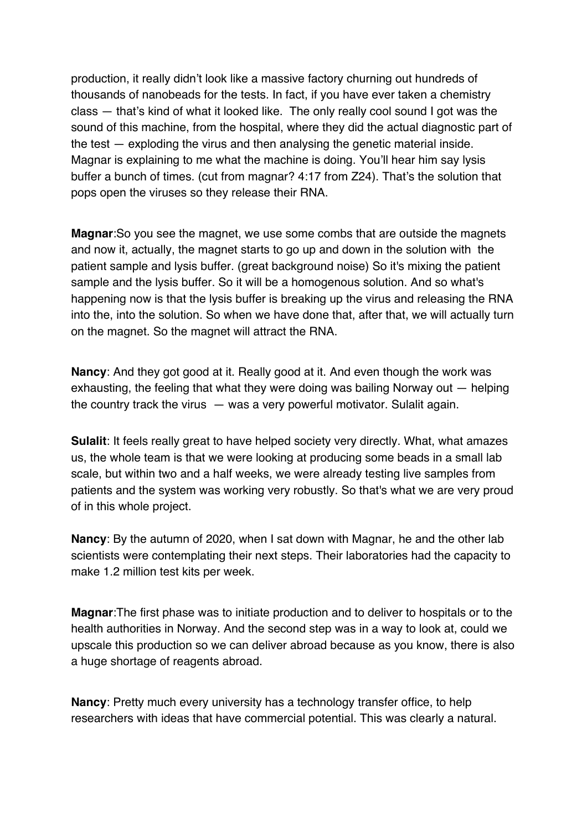production, it really didn't look like a massive factory churning out hundreds of thousands of nanobeads for the tests. In fact, if you have ever taken a chemistry class — that's kind of what it looked like. The only really cool sound I got was the sound of this machine, from the hospital, where they did the actual diagnostic part of the test — exploding the virus and then analysing the genetic material inside. Magnar is explaining to me what the machine is doing. You'll hear him say lysis buffer a bunch of times. (cut from magnar? 4:17 from Z24). That's the solution that pops open the viruses so they release their RNA.

**Magnar**:So you see the magnet, we use some combs that are outside the magnets and now it, actually, the magnet starts to go up and down in the solution with the patient sample and lysis buffer. (great background noise) So it's mixing the patient sample and the lysis buffer. So it will be a homogenous solution. And so what's happening now is that the lysis buffer is breaking up the virus and releasing the RNA into the, into the solution. So when we have done that, after that, we will actually turn on the magnet. So the magnet will attract the RNA.

**Nancy**: And they got good at it. Really good at it. And even though the work was exhausting, the feeling that what they were doing was bailing Norway out — helping the country track the virus — was a very powerful motivator. Sulalit again.

**Sulalit:** It feels really great to have helped society very directly. What, what amazes us, the whole team is that we were looking at producing some beads in a small lab scale, but within two and a half weeks, we were already testing live samples from patients and the system was working very robustly. So that's what we are very proud of in this whole project.

**Nancy**: By the autumn of 2020, when I sat down with Magnar, he and the other lab scientists were contemplating their next steps. Their laboratories had the capacity to make 1.2 million test kits per week.

**Magnar**:The first phase was to initiate production and to deliver to hospitals or to the health authorities in Norway. And the second step was in a way to look at, could we upscale this production so we can deliver abroad because as you know, there is also a huge shortage of reagents abroad.

**Nancy**: Pretty much every university has a technology transfer office, to help researchers with ideas that have commercial potential. This was clearly a natural.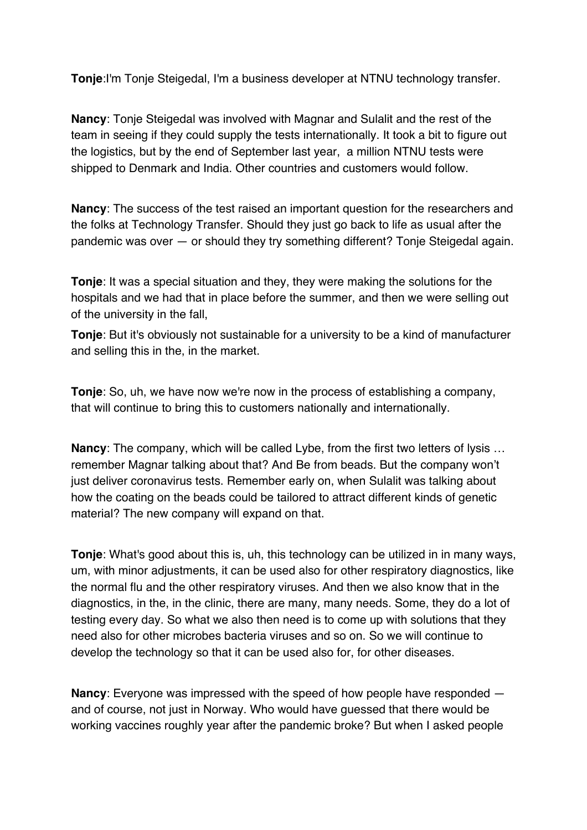**Tonje**:I'm Tonje Steigedal, I'm a business developer at NTNU technology transfer.

**Nancy**: Tonje Steigedal was involved with Magnar and Sulalit and the rest of the team in seeing if they could supply the tests internationally. It took a bit to figure out the logistics, but by the end of September last year, a million NTNU tests were shipped to Denmark and India. Other countries and customers would follow.

**Nancy**: The success of the test raised an important question for the researchers and the folks at Technology Transfer. Should they just go back to life as usual after the pandemic was over — or should they try something different? Tonje Steigedal again.

**Tonje**: It was a special situation and they, they were making the solutions for the hospitals and we had that in place before the summer, and then we were selling out of the university in the fall,

**Tonje**: But it's obviously not sustainable for a university to be a kind of manufacturer and selling this in the, in the market.

**Tonje**: So, uh, we have now we're now in the process of establishing a company, that will continue to bring this to customers nationally and internationally.

**Nancy:** The company, which will be called Lybe, from the first two letters of lysis ... remember Magnar talking about that? And Be from beads. But the company won't just deliver coronavirus tests. Remember early on, when Sulalit was talking about how the coating on the beads could be tailored to attract different kinds of genetic material? The new company will expand on that.

**Tonje**: What's good about this is, uh, this technology can be utilized in in many ways, um, with minor adjustments, it can be used also for other respiratory diagnostics, like the normal flu and the other respiratory viruses. And then we also know that in the diagnostics, in the, in the clinic, there are many, many needs. Some, they do a lot of testing every day. So what we also then need is to come up with solutions that they need also for other microbes bacteria viruses and so on. So we will continue to develop the technology so that it can be used also for, for other diseases.

**Nancy**: Everyone was impressed with the speed of how people have responded and of course, not just in Norway. Who would have guessed that there would be working vaccines roughly year after the pandemic broke? But when I asked people